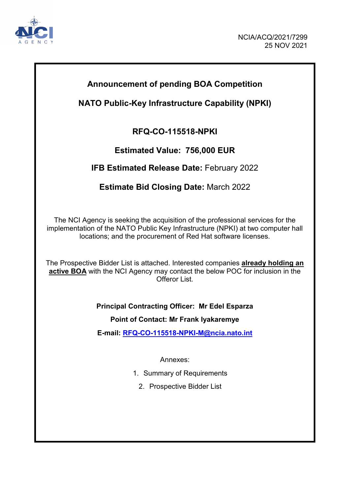

## **Announcement of pending BOA Competition**

## **NATO Public-Key Infrastructure Capability (NPKI)**

## **RFQ-CO-115518-NPKI**

## **Estimated Value: 756,000 EUR**

## **IFB Estimated Release Date:** February 2022

## **Estimate Bid Closing Date:** March 2022

The NCI Agency is seeking the acquisition of the professional services for the implementation of the NATO Public Key Infrastructure (NPKI) at two computer hall locations; and the procurement of Red Hat software licenses.

The Prospective Bidder List is attached. Interested companies **already holding an active BOA** with the NCI Agency may contact the below POC for inclusion in the Offeror List.

## **Principal Contracting Officer: Mr Edel Esparza**

**Point of Contact: Mr Frank Iyakaremye**

**E-mail: [RFQ-CO-115518-NPKI-M@ncia.nato.int](mailto:RFQ-CO-115518-NPKI-M@ncia.nato.int)**

Annexes:

- 1. Summary of Requirements
	- 2. Prospective Bidder List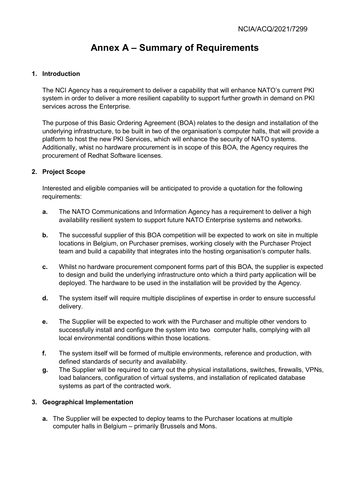# **Annex A – Summary of Requirements**

## **1. Introduction**

The NCI Agency has a requirement to deliver a capability that will enhance NATO's current PKI system in order to deliver a more resilient capability to support further growth in demand on PKI services across the Enterprise.

The purpose of this Basic Ordering Agreement (BOA) relates to the design and installation of the underlying infrastructure, to be built in two of the organisation's computer halls, that will provide a platform to host the new PKI Services, which will enhance the security of NATO systems. Additionally, whist no hardware procurement is in scope of this BOA, the Agency requires the procurement of Redhat Software licenses.

## **2. Project Scope**

Interested and eligible companies will be anticipated to provide a quotation for the following requirements:

- **a.** The NATO Communications and Information Agency has a requirement to deliver a high availability resilient system to support future NATO Enterprise systems and networks.
- **b.** The successful supplier of this BOA competition will be expected to work on site in multiple locations in Belgium, on Purchaser premises, working closely with the Purchaser Project team and build a capability that integrates into the hosting organisation's computer halls.
- **c.** Whilst no hardware procurement component forms part of this BOA, the supplier is expected to design and build the underlying infrastructure onto which a third party application will be deployed. The hardware to be used in the installation will be provided by the Agency.
- **d.** The system itself will require multiple disciplines of expertise in order to ensure successful delivery.
- **e.** The Supplier will be expected to work with the Purchaser and multiple other vendors to successfully install and configure the system into two computer halls, complying with all local environmental conditions within those locations.
- **f.** The system itself will be formed of multiple environments, reference and production, with defined standards of security and availability.
- **g.** The Supplier will be required to carry out the physical installations, switches, firewalls, VPNs, load balancers, configuration of virtual systems, and installation of replicated database systems as part of the contracted work.

### **3. Geographical Implementation**

**a.** The Supplier will be expected to deploy teams to the Purchaser locations at multiple computer halls in Belgium – primarily Brussels and Mons.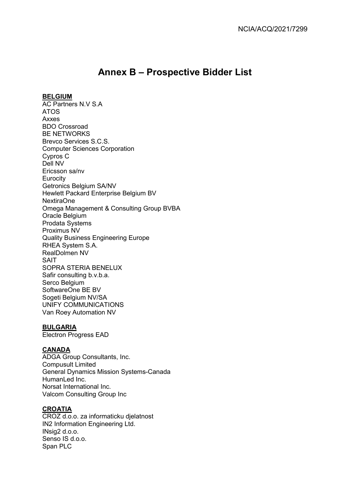## **Annex B – Prospective Bidder List**

#### **BELGIUM**

AC Partners N.V S.A ATOS Axxes BDO Crossroad BE NETWORKS Brevco Services S.C.S. Computer Sciences Corporation Cypros C Dell NV Ericsson sa/nv **Eurocity** Getronics Belgium SA/NV Hewlett Packard Enterprise Belgium BV NextiraOne Omega Management & Consulting Group BVBA Oracle Belgium Prodata Systems Proximus NV Quality Business Engineering Europe RHEA System S.A. RealDolmen NV SAIT SOPRA STERIA BENELUX Safir consulting b.v.b.a. Serco Belgium SoftwareOne BE BV Sogeti Belgium NV/SA UNIFY COMMUNICATIONS Van Roey Automation NV

### **BULGARIA**

Electron Progress EAD

## **CANADA**

ADGA Group Consultants, Inc. Compusult Limited General Dynamics Mission Systems-Canada HumanLed Inc. Norsat International Inc. Valcom Consulting Group Inc

### **CROATIA**

CROZ d.o.o. za informaticku djelatnost IN2 Information Engineering Ltd. INsig2 d.o.o. Senso IS d.o.o. Span PLC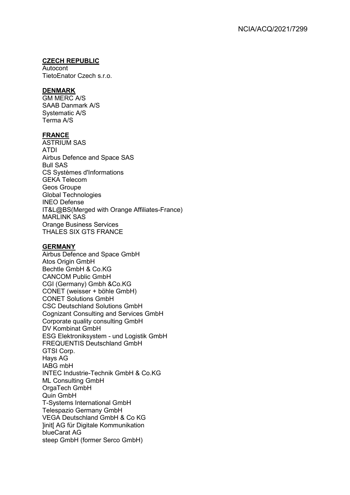#### **CZECH REPUBLIC**

Autocont TietoEnator Czech s.r.o.

#### **DENMARK**

GM MERC A/S SAAB Danmark A/S Systematic A/S Terma A/S

#### **FRANCE**

ASTRIUM SAS ATDI Airbus Defence and Space SAS Bull SAS CS Systèmes d'Informations GEKA Telecom Geos Groupe Global Technologies INEO Defense IT&L@BS(Merged with Orange Affiliates-France) MARLINK SAS Orange Business Services THALES SIX GTS FRANCE

#### **GERMANY**

Airbus Defence and Space GmbH Atos Origin GmbH Bechtle GmbH & Co.KG CANCOM Public GmbH CGI (Germany) Gmbh &Co.KG CONET (weisser + böhle GmbH) CONET Solutions GmbH CSC Deutschland Solutions GmbH Cognizant Consulting and Services GmbH Corporate quality consulting GmbH DV Kombinat GmbH ESG Elektroniksystem - und Logistik GmbH FREQUENTIS Deutschland GmbH GTSI Corp. Hays AG IABG mbH INTEC Industrie-Technik GmbH & Co.KG ML Consulting GmbH OrgaTech GmbH Quin GmbH T-Systems International GmbH Telespazio Germany GmbH VEGA Deutschland GmbH & Co KG ]init[ AG für Digitale Kommunikation blueCarat AG steep GmbH (former Serco GmbH)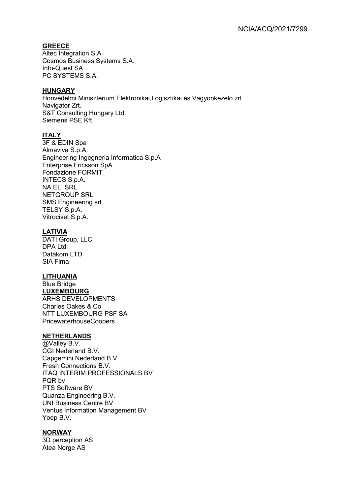## **GREECE**

Altec Integration S.A. Cosmos Business Systems S.A. Info-Quest SA PC SYSTEMS S.A.

#### **HUNGARY**

Honvédelmi Minisztérium Elektronikai,Logisztikai és Vagyonkezelo zrt. Navigator Zrt. S&T Consulting Hungary Ltd. Siemens PSE Kft.

## **ITALY**

3F & EDIN Spa Almaviva S.p.A. Engineering Ingegneria Informatica S.p.A Enterprise Ericsson SpA Fondazione FORMIT INTECS S.p.A. NA.EL. SRL NETGROUP SRL SMS Engineering srl TELSY S.p.A. Vitrociset S.p.A.

## **LATIVIA**

DATI Group, LLC DPA Ltd Datakom LTD SIA Fima

### **LITHUANIA**

Blue Bridge **LUXEMBOURG** ARHS DEVELOPMENTS Charles Oakes & Co NTT LUXEMBOURG PSF SA PricewaterhouseCoopers

### **NETHERLANDS**

@Valley B.V. CGI Nederland B.V. Capgemini Nederland B.V. Fresh Connections B.V. ITAQ INTERIM PROFESSIONALS BV PQR bv PTS Software BV Quanza Engineering B.V. UNI Business Centre BV Ventus Information Management BV Yoep B.V.

## **NORWAY**

3D perception AS Atea Norge AS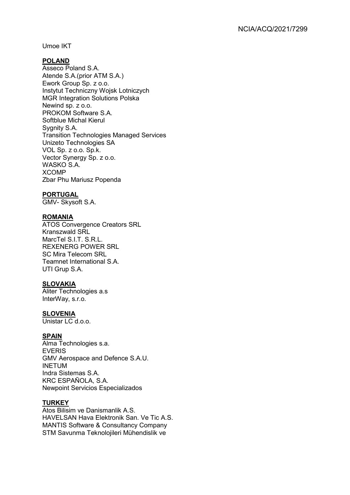Umoe IKT

## **POLAND**

Asseco Poland S.A. Atende S.A.(prior ATM S.A.) Ework Group Sp. z o.o. Instytut Techniczny Wojsk Lotniczych MGR Integration Solutions Polska Newind sp. z o.o. PROKOM Software S.A. Softblue Michal Kierul Sygnity S.A. Transition Technologies Managed Services Unizeto Technologies SA VOL Sp. z o.o. Sp.k. Vector Synergy Sp. z o.o. WASKO S.A. XCOMP Zbar Phu Mariusz Popenda

#### **PORTUGAL**

GMV- Skysoft S.A.

### **ROMANIA**

ATOS Convergence Creators SRL Kranszwald SRL MarcTel S.I.T. S.R.L. REXENERG POWER SRL SC Mira Telecom SRL Teamnet International S.A. UTI Grup S.A.

## **SLOVAKIA**

Aliter Technologies a.s InterWay, s.r.o.

#### **SLOVENIA**

Unistar LC d.o.o.

#### **SPAIN**

Alma Technologies s.a. EVERIS GMV Aerospace and Defence S.A.U. INETUM Indra Sistemas S.A. KRC ESPAÑOLA, S.A. Newpoint Servicios Especializados

## **TURKEY**

Atos Bilisim ve Danismanlik A.S. HAVELSAN Hava Elektronik San. Ve Tic A.S. MANTIS Software & Consultancy Company STM Savunma Teknolojileri Mühendislik ve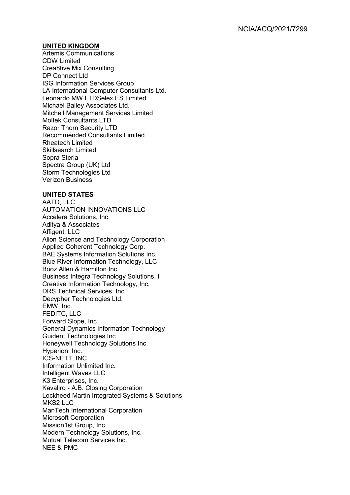#### **UNITED KINGDOM**

Artemis Communications CDW Limited Crea8tive Mix Consulting DP Connect Ltd ISG Information Services Group LA International Computer Consultants Ltd. Leonardo MW LTDSelex ES Limited Michael Bailey Associates Ltd. Mitchell Management Services Limited Moltek Consultants LTD Razor Thorn Security LTD Recommended Consultants Limited Rheatech Limited Skillsearch Limited Sopra Steria Spectra Group (UK) Ltd Storm Technologies Ltd Verizon Business

### **UNITED STATES**

AATD, LLC AUTOMATION INNOVATIONS LLC Accelera Solutions, Inc. Aditya & Associates Affigent, LLC Alion Science and Technology Corporation Applied Coherent Technology Corp. BAE Systems Information Solutions Inc. Blue River Information Technology, LLC Booz Allen & Hamilton Inc Business Integra Technology Solutions, I Creative Information Technology, Inc. DRS Technical Services, Inc. Decypher Technologies Ltd. EMW, Inc. FEDITC, LLC Forward Slope, Inc General Dynamics Information Technology Guident Technologies Inc Honeywell Technology Solutions Inc. Hyperion, Inc. ICS-NETT, INC Information Unlimited Inc. Intelligent Waves LLC K3 Enterprises, Inc. Kavaliro - A.B. Closing Corporation Lockheed Martin Integrated Systems & Solutions MKS<sub>2</sub> IIC ManTech International Corporation Microsoft Corporation Mission1st Group, Inc. Modern Technology Solutions, Inc. Mutual Telecom Services Inc. NEE & PMC